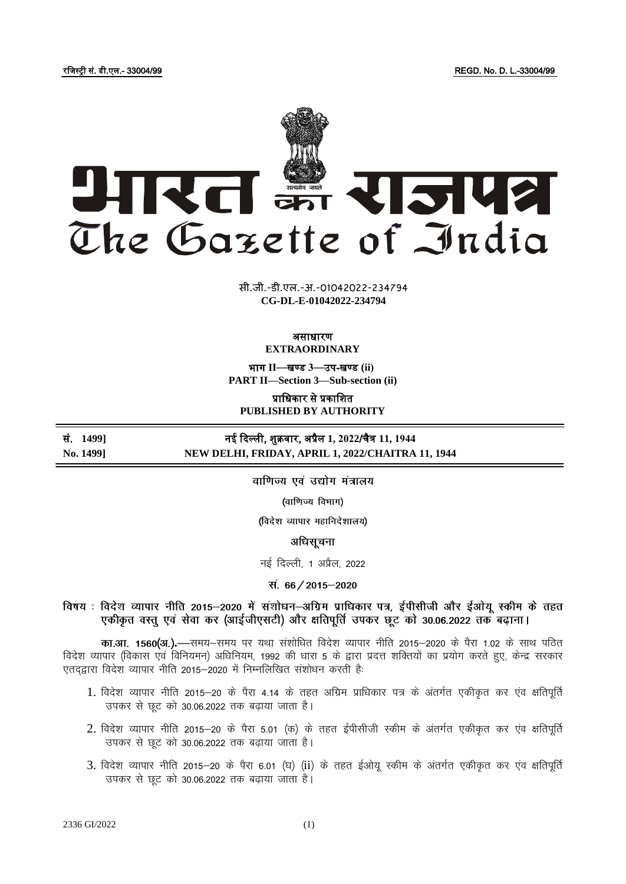रजिस्ट्री सं. डी.एल.- 33004/99 REGD. No. D. L.-33004/99



**xxxGIDHxxx xxx**GIDE**xxx CG-DL-E-01042022-234794**सी.जी.-डी.एल.-अ.-01042022-234794

#### असाधारण **EXTRAORDINARY**

भाग **II**—खण् ड **3**—उप-खण् ड **(ii) PART II—Section 3—Sub-section (ii)**

प्राजधकार से प्रकाजित

**PUBLISHED BY AUTHORITY**

सं. **1499]** नई दिल्ली, िुक्रवार, अप्रैल **1, 2022**/चैत्र **11, 1944 No. 1499] NEW DELHI, FRIDAY, APRIL 1, 2022/CHAITRA 11, 1944**

वाणिज्य एवं उद्योग मंत्रालय

(वाणिज्य विभाग)

(विदेश व्यापार महानिदेशालय)

अधिसूचना

नई दिल्ली, 1 अप्रैल, 2022

सं. 66 / 2015-2020

विषय : विदेश व्यापार नीति 2015–2020 में संशोधन–अग्रिम प्राधिकार पत्र, ईपीसीजी और ईओयू स्कीम के तहत एकीकृत वस्तू एवं सेवा कर (आईजीएसटी) और क्षतिपूर्ति उपकर छूट को 30.06.2022 तक बढ़ाना।

**का.आ. 1560(अ.).—**समय–समय पर यथा संशोधित विदेश व्यापार नीति 2015–2020 के पैरा 1.02 के साथ पठित विदेश व्यापार (विकास एवं विनियमन) अधिनियम, 1992 की धारा 5 के द्वारा प्रदत्त शक्तियों का प्रयोग करते हुए, केन्द्र सरकार एतदद्वारा विदेश व्यापार नीति 2015-2020 में निम्नलिखित संशोधन करती है:

- 1. विदेश व्यापार नीति 2015-20 के पैरा 4.14 के तहत अग्रिम प्राधिकार पत्र के अंतर्गत एकीकृत कर एव क्षतिपूर्ति उपकर से छूट को 30.06.2022 तक बढ़ाया जाता है।
- 2. विदेश व्यापार नीति 2015-20 के पैरा 5.01 (क) के तहत ईपीसीजी स्कीम के अंतर्गत एकीकृत कर एंव क्षतिपूर्ति उपकर से छट को 30.06.2022 तक बढाया जाता है।
- 3. विदेश व्यापार नीति 2015-20 के पैरा 6.01 (घ) (ii) के तहत ईओयू स्कीम के अंतर्गत एकीकृत कर एव क्षतिपूर्ति उपकर से छूट को 30.06.2022 तक बढाया जाता है।